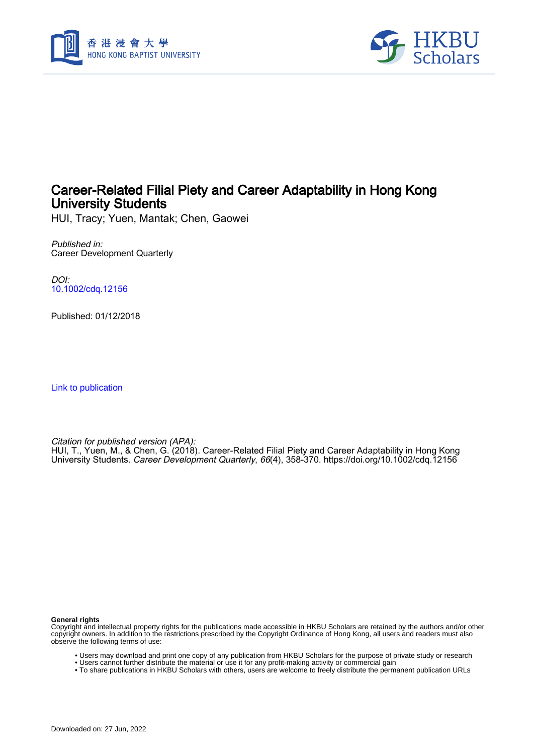



# Career-Related Filial Piety and Career Adaptability in Hong Kong University Students

HUI, Tracy; Yuen, Mantak; Chen, Gaowei

Published in: Career Development Quarterly

DOI: [10.1002/cdq.12156](https://doi.org/10.1002/cdq.12156)

Published: 01/12/2018

[Link to publication](https://scholars.hkbu.edu.hk/en/publications/7106c53e-2e7b-4fab-bb6d-834d5ef51aaa)

Citation for published version (APA):

HUI, T., Yuen, M., & Chen, G. (2018). Career-Related Filial Piety and Career Adaptability in Hong Kong University Students. Career Development Quarterly, 66(4), 358-370.<https://doi.org/10.1002/cdq.12156>

**General rights**

Copyright and intellectual property rights for the publications made accessible in HKBU Scholars are retained by the authors and/or other copyright owners. In addition to the restrictions prescribed by the Copyright Ordinance of Hong Kong, all users and readers must also observe the following terms of use:

- Users may download and print one copy of any publication from HKBU Scholars for the purpose of private study or research
- Users cannot further distribute the material or use it for any profit-making activity or commercial gain
- To share publications in HKBU Scholars with others, users are welcome to freely distribute the permanent publication URLs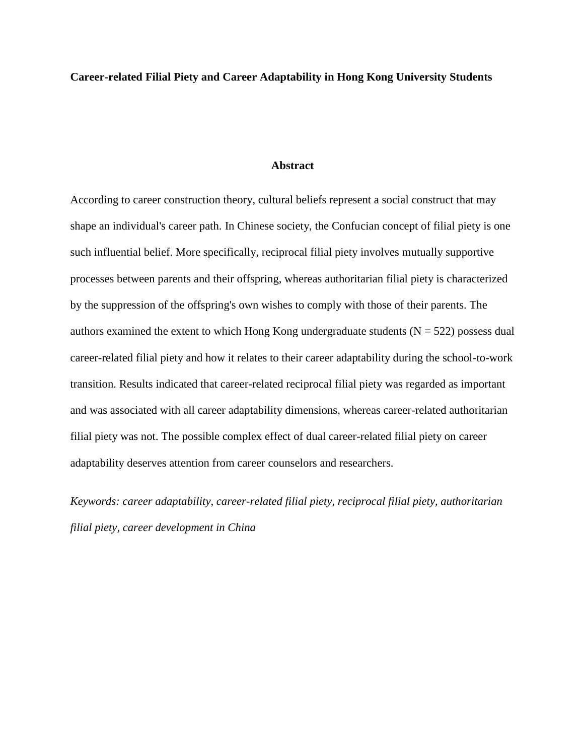# **Career-related Filial Piety and Career Adaptability in Hong Kong University Students**

### **Abstract**

According to career construction theory, cultural beliefs represent a social construct that may shape an individual's career path. In Chinese society, the Confucian concept of filial piety is one such influential belief. More specifically, reciprocal filial piety involves mutually supportive processes between parents and their offspring, whereas authoritarian filial piety is characterized by the suppression of the offspring's own wishes to comply with those of their parents. The authors examined the extent to which Hong Kong undergraduate students ( $N = 522$ ) possess dual career-related filial piety and how it relates to their career adaptability during the school-to-work transition. Results indicated that career-related reciprocal filial piety was regarded as important and was associated with all career adaptability dimensions, whereas career-related authoritarian filial piety was not. The possible complex effect of dual career-related filial piety on career adaptability deserves attention from career counselors and researchers.

*Keywords: career adaptability, career-related filial piety, reciprocal filial piety, authoritarian filial piety, career development in China*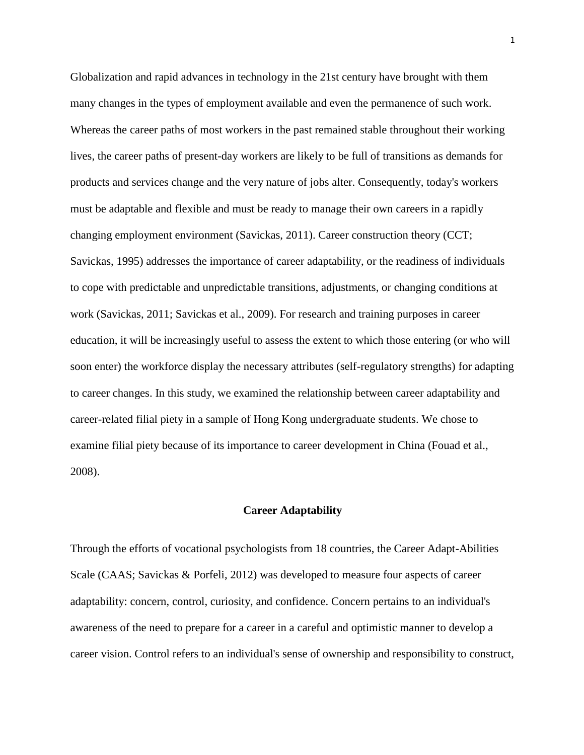Globalization and rapid advances in technology in the 21st century have brought with them many changes in the types of employment available and even the permanence of such work. Whereas the career paths of most workers in the past remained stable throughout their working lives, the career paths of present-day workers are likely to be full of transitions as demands for products and services change and the very nature of jobs alter. Consequently, today's workers must be adaptable and flexible and must be ready to manage their own careers in a rapidly changing employment environment (Savickas, 2011). Career construction theory (CCT; Savickas, 1995) addresses the importance of career adaptability, or the readiness of individuals to cope with predictable and unpredictable transitions, adjustments, or changing conditions at work (Savickas, 2011; Savickas et al., 2009). For research and training purposes in career education, it will be increasingly useful to assess the extent to which those entering (or who will soon enter) the workforce display the necessary attributes (self-regulatory strengths) for adapting to career changes. In this study, we examined the relationship between career adaptability and career-related filial piety in a sample of Hong Kong undergraduate students. We chose to examine filial piety because of its importance to career development in China (Fouad et al., 2008).

#### **Career Adaptability**

Through the efforts of vocational psychologists from 18 countries, the Career Adapt-Abilities Scale (CAAS; Savickas & Porfeli, 2012) was developed to measure four aspects of career adaptability: concern, control, curiosity, and confidence. Concern pertains to an individual's awareness of the need to prepare for a career in a careful and optimistic manner to develop a career vision. Control refers to an individual's sense of ownership and responsibility to construct,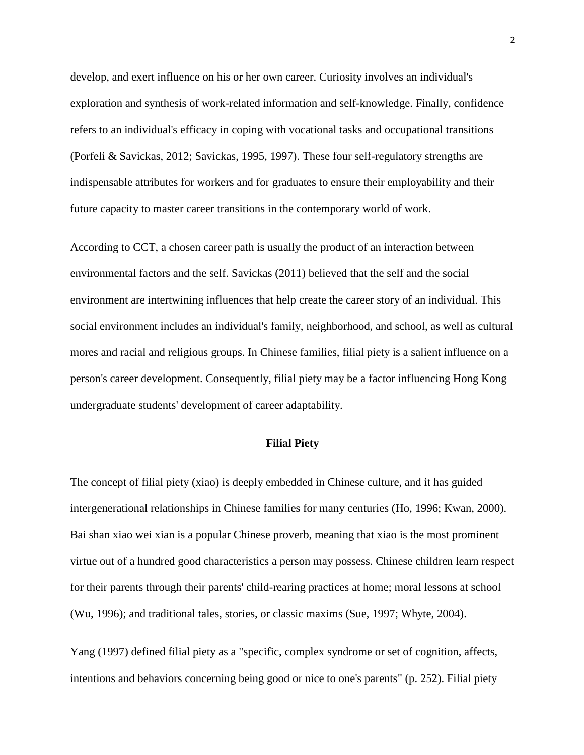develop, and exert influence on his or her own career. Curiosity involves an individual's exploration and synthesis of work-related information and self-knowledge. Finally, confidence refers to an individual's efficacy in coping with vocational tasks and occupational transitions (Porfeli & Savickas, 2012; Savickas, 1995, 1997). These four self-regulatory strengths are indispensable attributes for workers and for graduates to ensure their employability and their future capacity to master career transitions in the contemporary world of work.

According to CCT, a chosen career path is usually the product of an interaction between environmental factors and the self. Savickas (2011) believed that the self and the social environment are intertwining influences that help create the career story of an individual. This social environment includes an individual's family, neighborhood, and school, as well as cultural mores and racial and religious groups. In Chinese families, filial piety is a salient influence on a person's career development. Consequently, filial piety may be a factor influencing Hong Kong undergraduate students' development of career adaptability.

# **Filial Piety**

The concept of filial piety (xiao) is deeply embedded in Chinese culture, and it has guided intergenerational relationships in Chinese families for many centuries (Ho, 1996; Kwan, 2000). Bai shan xiao wei xian is a popular Chinese proverb, meaning that xiao is the most prominent virtue out of a hundred good characteristics a person may possess. Chinese children learn respect for their parents through their parents' child-rearing practices at home; moral lessons at school (Wu, 1996); and traditional tales, stories, or classic maxims (Sue, 1997; Whyte, 2004).

Yang (1997) defined filial piety as a "specific, complex syndrome or set of cognition, affects, intentions and behaviors concerning being good or nice to one's parents" (p. 252). Filial piety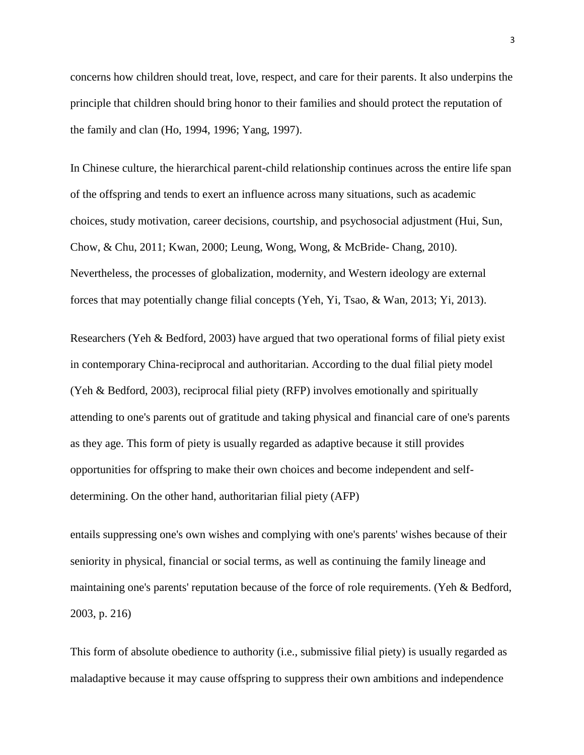concerns how children should treat, love, respect, and care for their parents. It also underpins the principle that children should bring honor to their families and should protect the reputation of the family and clan (Ho, 1994, 1996; Yang, 1997).

In Chinese culture, the hierarchical parent-child relationship continues across the entire life span of the offspring and tends to exert an influence across many situations, such as academic choices, study motivation, career decisions, courtship, and psychosocial adjustment (Hui, Sun, Chow, & Chu, 2011; Kwan, 2000; Leung, Wong, Wong, & McBride- Chang, 2010). Nevertheless, the processes of globalization, modernity, and Western ideology are external forces that may potentially change filial concepts (Yeh, Yi, Tsao, & Wan, 2013; Yi, 2013).

Researchers (Yeh & Bedford, 2003) have argued that two operational forms of filial piety exist in contemporary China-reciprocal and authoritarian. According to the dual filial piety model (Yeh & Bedford, 2003), reciprocal filial piety (RFP) involves emotionally and spiritually attending to one's parents out of gratitude and taking physical and financial care of one's parents as they age. This form of piety is usually regarded as adaptive because it still provides opportunities for offspring to make their own choices and become independent and selfdetermining. On the other hand, authoritarian filial piety (AFP)

entails suppressing one's own wishes and complying with one's parents' wishes because of their seniority in physical, financial or social terms, as well as continuing the family lineage and maintaining one's parents' reputation because of the force of role requirements. (Yeh & Bedford, 2003, p. 216)

This form of absolute obedience to authority (i.e., submissive filial piety) is usually regarded as maladaptive because it may cause offspring to suppress their own ambitions and independence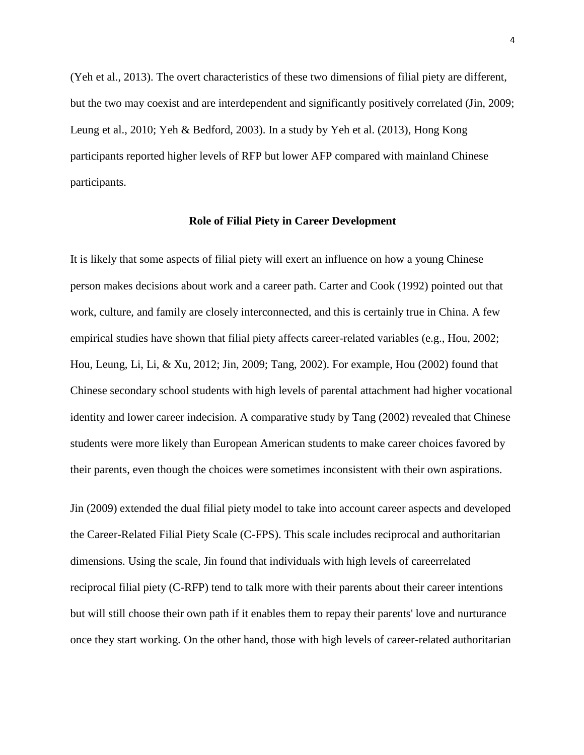(Yeh et al., 2013). The overt characteristics of these two dimensions of filial piety are different, but the two may coexist and are interdependent and significantly positively correlated (Jin, 2009; Leung et al., 2010; Yeh & Bedford, 2003). In a study by Yeh et al. (2013), Hong Kong participants reported higher levels of RFP but lower AFP compared with mainland Chinese participants.

#### **Role of Filial Piety in Career Development**

It is likely that some aspects of filial piety will exert an influence on how a young Chinese person makes decisions about work and a career path. Carter and Cook (1992) pointed out that work, culture, and family are closely interconnected, and this is certainly true in China. A few empirical studies have shown that filial piety affects career-related variables (e.g., Hou, 2002; Hou, Leung, Li, Li, & Xu, 2012; Jin, 2009; Tang, 2002). For example, Hou (2002) found that Chinese secondary school students with high levels of parental attachment had higher vocational identity and lower career indecision. A comparative study by Tang (2002) revealed that Chinese students were more likely than European American students to make career choices favored by their parents, even though the choices were sometimes inconsistent with their own aspirations.

Jin (2009) extended the dual filial piety model to take into account career aspects and developed the Career-Related Filial Piety Scale (C-FPS). This scale includes reciprocal and authoritarian dimensions. Using the scale, Jin found that individuals with high levels of careerrelated reciprocal filial piety (C-RFP) tend to talk more with their parents about their career intentions but will still choose their own path if it enables them to repay their parents' love and nurturance once they start working. On the other hand, those with high levels of career-related authoritarian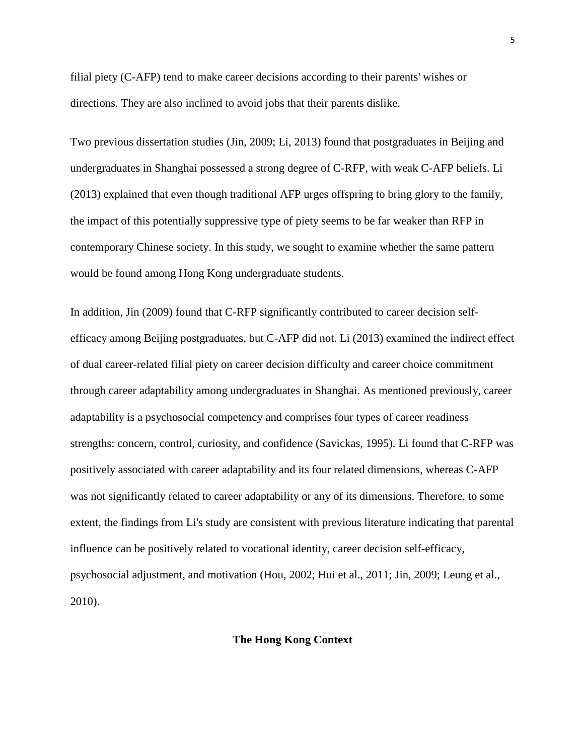filial piety (C-AFP) tend to make career decisions according to their parents' wishes or directions. They are also inclined to avoid jobs that their parents dislike.

Two previous dissertation studies (Jin, 2009; Li, 2013) found that postgraduates in Beijing and undergraduates in Shanghai possessed a strong degree of C-RFP, with weak C-AFP beliefs. Li (2013) explained that even though traditional AFP urges offspring to bring glory to the family, the impact of this potentially suppressive type of piety seems to be far weaker than RFP in contemporary Chinese society. In this study, we sought to examine whether the same pattern would be found among Hong Kong undergraduate students.

In addition, Jin (2009) found that C-RFP significantly contributed to career decision selfefficacy among Beijing postgraduates, but C-AFP did not. Li (2013) examined the indirect effect of dual career-related filial piety on career decision difficulty and career choice commitment through career adaptability among undergraduates in Shanghai. As mentioned previously, career adaptability is a psychosocial competency and comprises four types of career readiness strengths: concern, control, curiosity, and confidence (Savickas, 1995). Li found that C-RFP was positively associated with career adaptability and its four related dimensions, whereas C-AFP was not significantly related to career adaptability or any of its dimensions. Therefore, to some extent, the findings from Li's study are consistent with previous literature indicating that parental influence can be positively related to vocational identity, career decision self-efficacy, psychosocial adjustment, and motivation (Hou, 2002; Hui et al., 2011; Jin, 2009; Leung et al., 2010).

# **The Hong Kong Context**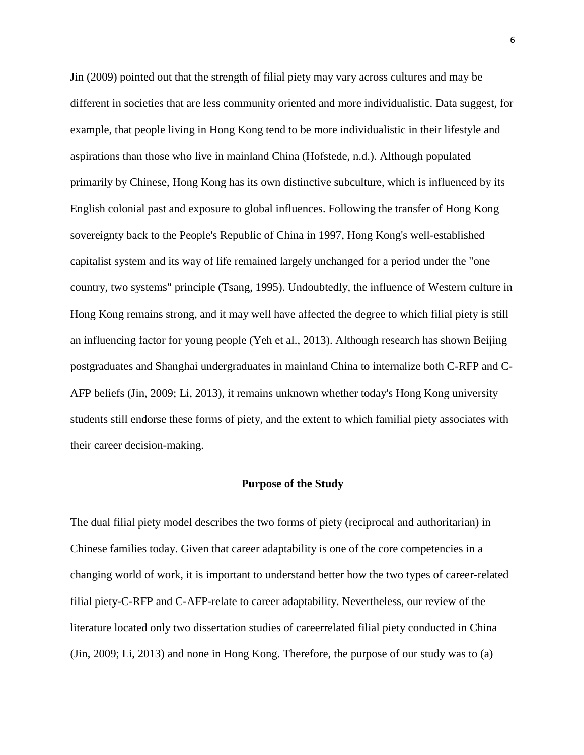Jin (2009) pointed out that the strength of filial piety may vary across cultures and may be different in societies that are less community oriented and more individualistic. Data suggest, for example, that people living in Hong Kong tend to be more individualistic in their lifestyle and aspirations than those who live in mainland China (Hofstede, n.d.). Although populated primarily by Chinese, Hong Kong has its own distinctive subculture, which is influenced by its English colonial past and exposure to global influences. Following the transfer of Hong Kong sovereignty back to the People's Republic of China in 1997, Hong Kong's well-established capitalist system and its way of life remained largely unchanged for a period under the "one country, two systems" principle (Tsang, 1995). Undoubtedly, the influence of Western culture in Hong Kong remains strong, and it may well have affected the degree to which filial piety is still an influencing factor for young people (Yeh et al., 2013). Although research has shown Beijing postgraduates and Shanghai undergraduates in mainland China to internalize both C-RFP and C-AFP beliefs (Jin, 2009; Li, 2013), it remains unknown whether today's Hong Kong university students still endorse these forms of piety, and the extent to which familial piety associates with their career decision-making.

#### **Purpose of the Study**

The dual filial piety model describes the two forms of piety (reciprocal and authoritarian) in Chinese families today. Given that career adaptability is one of the core competencies in a changing world of work, it is important to understand better how the two types of career-related filial piety-C-RFP and C-AFP-relate to career adaptability. Nevertheless, our review of the literature located only two dissertation studies of careerrelated filial piety conducted in China (Jin, 2009; Li, 2013) and none in Hong Kong. Therefore, the purpose of our study was to (a)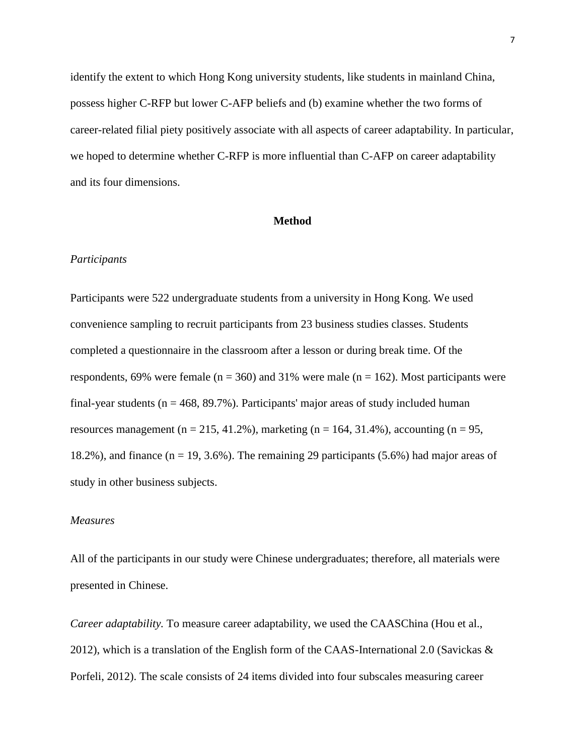identify the extent to which Hong Kong university students, like students in mainland China, possess higher C-RFP but lower C-AFP beliefs and (b) examine whether the two forms of career-related filial piety positively associate with all aspects of career adaptability. In particular, we hoped to determine whether C-RFP is more influential than C-AFP on career adaptability and its four dimensions.

#### **Method**

#### *Participants*

Participants were 522 undergraduate students from a university in Hong Kong. We used convenience sampling to recruit participants from 23 business studies classes. Students completed a questionnaire in the classroom after a lesson or during break time. Of the respondents, 69% were female ( $n = 360$ ) and 31% were male ( $n = 162$ ). Most participants were final-year students ( $n = 468$ , 89.7%). Participants' major areas of study included human resources management ( $n = 215, 41.2\%$ ), marketing ( $n = 164, 31.4\%$ ), accounting ( $n = 95$ , 18.2%), and finance  $(n = 19, 3.6\%)$ . The remaining 29 participants (5.6%) had major areas of study in other business subjects.

### *Measures*

All of the participants in our study were Chinese undergraduates; therefore, all materials were presented in Chinese.

*Career adaptability.* To measure career adaptability, we used the CAASChina (Hou et al., 2012), which is a translation of the English form of the CAAS-International 2.0 (Savickas & Porfeli, 2012). The scale consists of 24 items divided into four subscales measuring career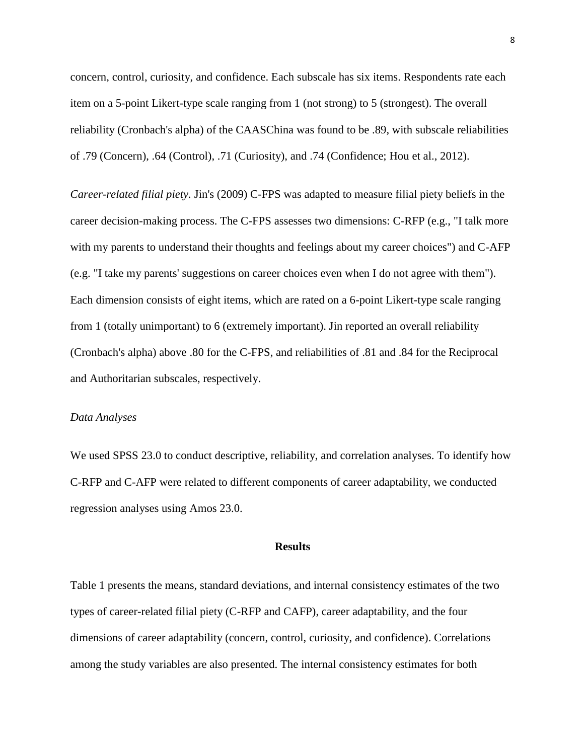concern, control, curiosity, and confidence. Each subscale has six items. Respondents rate each item on a 5-point Likert-type scale ranging from 1 (not strong) to 5 (strongest). The overall reliability (Cronbach's alpha) of the CAASChina was found to be .89, with subscale reliabilities of .79 (Concern), .64 (Control), .71 (Curiosity), and .74 (Confidence; Hou et al., 2012).

*Career-related filial piety.* Jin's (2009) C-FPS was adapted to measure filial piety beliefs in the career decision-making process. The C-FPS assesses two dimensions: C-RFP (e.g., "I talk more with my parents to understand their thoughts and feelings about my career choices") and C-AFP (e.g. "I take my parents' suggestions on career choices even when I do not agree with them"). Each dimension consists of eight items, which are rated on a 6-point Likert-type scale ranging from 1 (totally unimportant) to 6 (extremely important). Jin reported an overall reliability (Cronbach's alpha) above .80 for the C-FPS, and reliabilities of .81 and .84 for the Reciprocal and Authoritarian subscales, respectively.

#### *Data Analyses*

We used SPSS 23.0 to conduct descriptive, reliability, and correlation analyses. To identify how C-RFP and C-AFP were related to different components of career adaptability, we conducted regression analyses using Amos 23.0.

## **Results**

Table 1 presents the means, standard deviations, and internal consistency estimates of the two types of career-related filial piety (C-RFP and CAFP), career adaptability, and the four dimensions of career adaptability (concern, control, curiosity, and confidence). Correlations among the study variables are also presented. The internal consistency estimates for both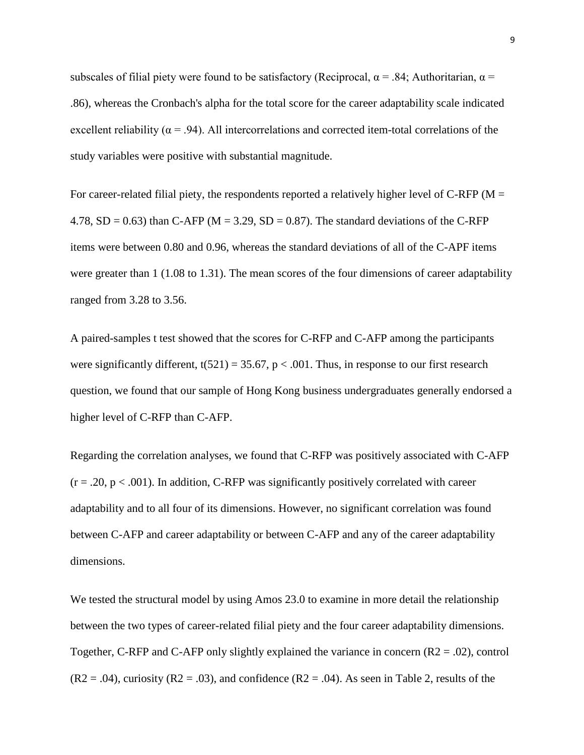subscales of filial piety were found to be satisfactory (Reciprocal,  $\alpha = .84$ ; Authoritarian,  $\alpha =$ .86), whereas the Cronbach's alpha for the total score for the career adaptability scale indicated excellent reliability ( $\alpha$  = .94). All intercorrelations and corrected item-total correlations of the study variables were positive with substantial magnitude.

For career-related filial piety, the respondents reported a relatively higher level of C-RFP ( $M =$ 4.78,  $SD = 0.63$ ) than C-AFP (M = 3.29,  $SD = 0.87$ ). The standard deviations of the C-RFP items were between 0.80 and 0.96, whereas the standard deviations of all of the C-APF items were greater than 1 (1.08 to 1.31). The mean scores of the four dimensions of career adaptability ranged from 3.28 to 3.56.

A paired-samples t test showed that the scores for C-RFP and C-AFP among the participants were significantly different,  $t(521) = 35.67$ ,  $p < .001$ . Thus, in response to our first research question, we found that our sample of Hong Kong business undergraduates generally endorsed a higher level of C-RFP than C-AFP.

Regarding the correlation analyses, we found that C-RFP was positively associated with C-AFP  $(r = .20, p < .001)$ . In addition, C-RFP was significantly positively correlated with career adaptability and to all four of its dimensions. However, no significant correlation was found between C-AFP and career adaptability or between C-AFP and any of the career adaptability dimensions.

We tested the structural model by using Amos 23.0 to examine in more detail the relationship between the two types of career-related filial piety and the four career adaptability dimensions. Together, C-RFP and C-AFP only slightly explained the variance in concern  $(R2 = .02)$ , control  $(R2 = .04)$ , curiosity  $(R2 = .03)$ , and confidence  $(R2 = .04)$ . As seen in Table 2, results of the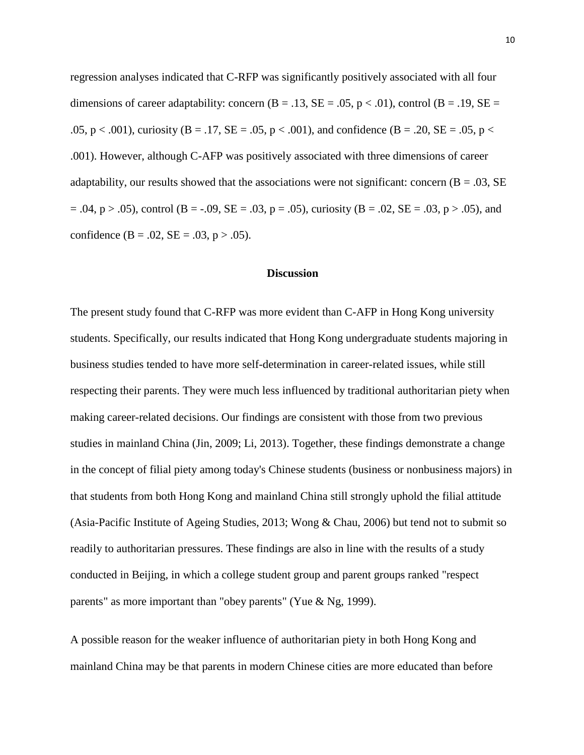regression analyses indicated that C-RFP was significantly positively associated with all four dimensions of career adaptability: concern  $(B = .13, SE = .05, p < .01)$ , control  $(B = .19, SE = .05, p < .01)$ .05, p < .001), curiosity (B = .17, SE = .05, p < .001), and confidence (B = .20, SE = .05, p < .001). However, although C-AFP was positively associated with three dimensions of career adaptability, our results showed that the associations were not significant: concern  $(B = .03, SE)$  $= .04$ ,  $p > .05$ ), control (B = -.09, SE = .03, p = .05), curiosity (B = .02, SE = .03, p > .05), and confidence (B = .02, SE = .03, p > .05).

# **Discussion**

The present study found that C-RFP was more evident than C-AFP in Hong Kong university students. Specifically, our results indicated that Hong Kong undergraduate students majoring in business studies tended to have more self-determination in career-related issues, while still respecting their parents. They were much less influenced by traditional authoritarian piety when making career-related decisions. Our findings are consistent with those from two previous studies in mainland China (Jin, 2009; Li, 2013). Together, these findings demonstrate a change in the concept of filial piety among today's Chinese students (business or nonbusiness majors) in that students from both Hong Kong and mainland China still strongly uphold the filial attitude (Asia-Pacific Institute of Ageing Studies, 2013; Wong & Chau, 2006) but tend not to submit so readily to authoritarian pressures. These findings are also in line with the results of a study conducted in Beijing, in which a college student group and parent groups ranked "respect parents" as more important than "obey parents" (Yue & Ng, 1999).

A possible reason for the weaker influence of authoritarian piety in both Hong Kong and mainland China may be that parents in modern Chinese cities are more educated than before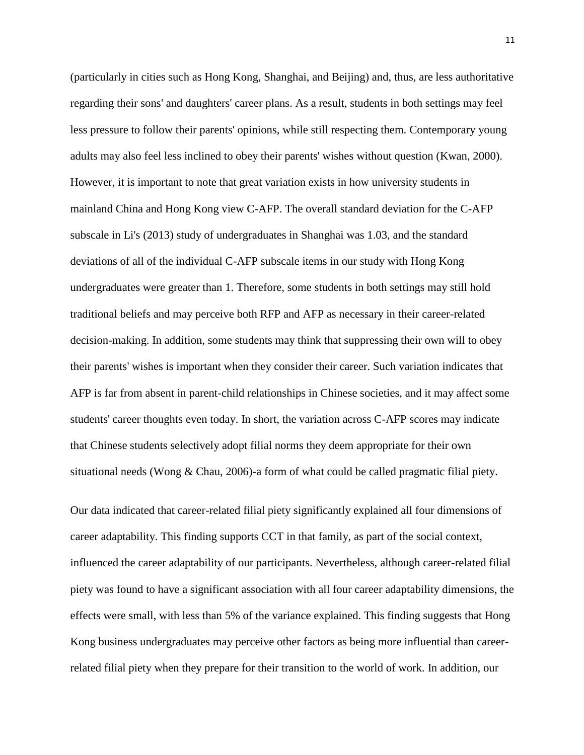(particularly in cities such as Hong Kong, Shanghai, and Beijing) and, thus, are less authoritative regarding their sons' and daughters' career plans. As a result, students in both settings may feel less pressure to follow their parents' opinions, while still respecting them. Contemporary young adults may also feel less inclined to obey their parents' wishes without question (Kwan, 2000). However, it is important to note that great variation exists in how university students in mainland China and Hong Kong view C-AFP. The overall standard deviation for the C-AFP subscale in Li's (2013) study of undergraduates in Shanghai was 1.03, and the standard deviations of all of the individual C-AFP subscale items in our study with Hong Kong undergraduates were greater than 1. Therefore, some students in both settings may still hold traditional beliefs and may perceive both RFP and AFP as necessary in their career-related decision-making. In addition, some students may think that suppressing their own will to obey their parents' wishes is important when they consider their career. Such variation indicates that AFP is far from absent in parent-child relationships in Chinese societies, and it may affect some students' career thoughts even today. In short, the variation across C-AFP scores may indicate that Chinese students selectively adopt filial norms they deem appropriate for their own situational needs (Wong & Chau, 2006)-a form of what could be called pragmatic filial piety.

Our data indicated that career-related filial piety significantly explained all four dimensions of career adaptability. This finding supports CCT in that family, as part of the social context, influenced the career adaptability of our participants. Nevertheless, although career-related filial piety was found to have a significant association with all four career adaptability dimensions, the effects were small, with less than 5% of the variance explained. This finding suggests that Hong Kong business undergraduates may perceive other factors as being more influential than careerrelated filial piety when they prepare for their transition to the world of work. In addition, our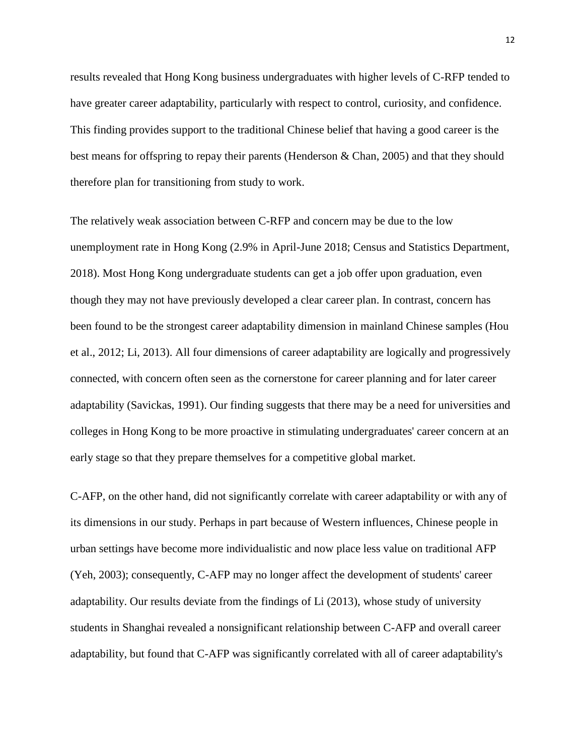results revealed that Hong Kong business undergraduates with higher levels of C-RFP tended to have greater career adaptability, particularly with respect to control, curiosity, and confidence. This finding provides support to the traditional Chinese belief that having a good career is the best means for offspring to repay their parents (Henderson & Chan, 2005) and that they should therefore plan for transitioning from study to work.

The relatively weak association between C-RFP and concern may be due to the low unemployment rate in Hong Kong (2.9% in April-June 2018; Census and Statistics Department, 2018). Most Hong Kong undergraduate students can get a job offer upon graduation, even though they may not have previously developed a clear career plan. In contrast, concern has been found to be the strongest career adaptability dimension in mainland Chinese samples (Hou et al., 2012; Li, 2013). All four dimensions of career adaptability are logically and progressively connected, with concern often seen as the cornerstone for career planning and for later career adaptability (Savickas, 1991). Our finding suggests that there may be a need for universities and colleges in Hong Kong to be more proactive in stimulating undergraduates' career concern at an early stage so that they prepare themselves for a competitive global market.

C-AFP, on the other hand, did not significantly correlate with career adaptability or with any of its dimensions in our study. Perhaps in part because of Western influences, Chinese people in urban settings have become more individualistic and now place less value on traditional AFP (Yeh, 2003); consequently, C-AFP may no longer affect the development of students' career adaptability. Our results deviate from the findings of Li (2013), whose study of university students in Shanghai revealed a nonsignificant relationship between C-AFP and overall career adaptability, but found that C-AFP was significantly correlated with all of career adaptability's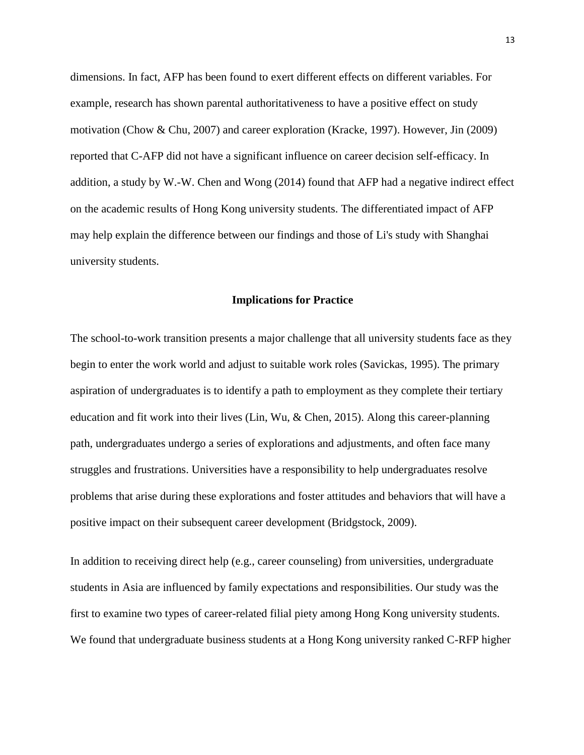dimensions. In fact, AFP has been found to exert different effects on different variables. For example, research has shown parental authoritativeness to have a positive effect on study motivation (Chow & Chu, 2007) and career exploration (Kracke, 1997). However, Jin (2009) reported that C-AFP did not have a significant influence on career decision self-efficacy. In addition, a study by W.-W. Chen and Wong (2014) found that AFP had a negative indirect effect on the academic results of Hong Kong university students. The differentiated impact of AFP may help explain the difference between our findings and those of Li's study with Shanghai university students.

#### **Implications for Practice**

The school-to-work transition presents a major challenge that all university students face as they begin to enter the work world and adjust to suitable work roles (Savickas, 1995). The primary aspiration of undergraduates is to identify a path to employment as they complete their tertiary education and fit work into their lives (Lin, Wu, & Chen, 2015). Along this career-planning path, undergraduates undergo a series of explorations and adjustments, and often face many struggles and frustrations. Universities have a responsibility to help undergraduates resolve problems that arise during these explorations and foster attitudes and behaviors that will have a positive impact on their subsequent career development (Bridgstock, 2009).

In addition to receiving direct help (e.g., career counseling) from universities, undergraduate students in Asia are influenced by family expectations and responsibilities. Our study was the first to examine two types of career-related filial piety among Hong Kong university students. We found that undergraduate business students at a Hong Kong university ranked C-RFP higher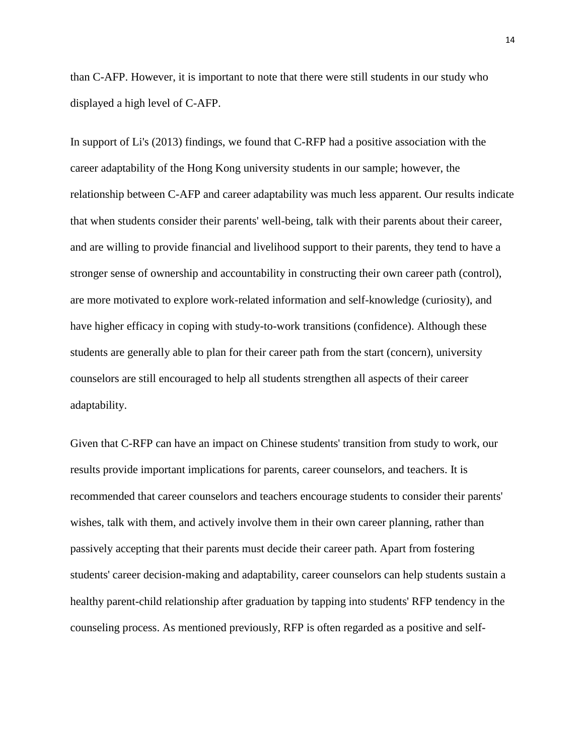than C-AFP. However, it is important to note that there were still students in our study who displayed a high level of C-AFP.

In support of Li's (2013) findings, we found that C-RFP had a positive association with the career adaptability of the Hong Kong university students in our sample; however, the relationship between C-AFP and career adaptability was much less apparent. Our results indicate that when students consider their parents' well-being, talk with their parents about their career, and are willing to provide financial and livelihood support to their parents, they tend to have a stronger sense of ownership and accountability in constructing their own career path (control), are more motivated to explore work-related information and self-knowledge (curiosity), and have higher efficacy in coping with study-to-work transitions (confidence). Although these students are generally able to plan for their career path from the start (concern), university counselors are still encouraged to help all students strengthen all aspects of their career adaptability.

Given that C-RFP can have an impact on Chinese students' transition from study to work, our results provide important implications for parents, career counselors, and teachers. It is recommended that career counselors and teachers encourage students to consider their parents' wishes, talk with them, and actively involve them in their own career planning, rather than passively accepting that their parents must decide their career path. Apart from fostering students' career decision-making and adaptability, career counselors can help students sustain a healthy parent-child relationship after graduation by tapping into students' RFP tendency in the counseling process. As mentioned previously, RFP is often regarded as a positive and self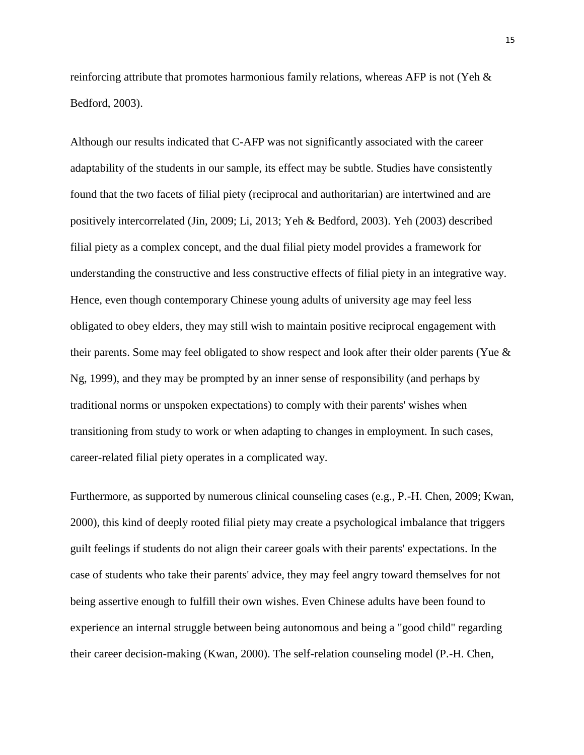reinforcing attribute that promotes harmonious family relations, whereas AFP is not (Yeh & Bedford, 2003).

Although our results indicated that C-AFP was not significantly associated with the career adaptability of the students in our sample, its effect may be subtle. Studies have consistently found that the two facets of filial piety (reciprocal and authoritarian) are intertwined and are positively intercorrelated (Jin, 2009; Li, 2013; Yeh & Bedford, 2003). Yeh (2003) described filial piety as a complex concept, and the dual filial piety model provides a framework for understanding the constructive and less constructive effects of filial piety in an integrative way. Hence, even though contemporary Chinese young adults of university age may feel less obligated to obey elders, they may still wish to maintain positive reciprocal engagement with their parents. Some may feel obligated to show respect and look after their older parents (Yue & Ng, 1999), and they may be prompted by an inner sense of responsibility (and perhaps by traditional norms or unspoken expectations) to comply with their parents' wishes when transitioning from study to work or when adapting to changes in employment. In such cases, career-related filial piety operates in a complicated way.

Furthermore, as supported by numerous clinical counseling cases (e.g., P.-H. Chen, 2009; Kwan, 2000), this kind of deeply rooted filial piety may create a psychological imbalance that triggers guilt feelings if students do not align their career goals with their parents' expectations. In the case of students who take their parents' advice, they may feel angry toward themselves for not being assertive enough to fulfill their own wishes. Even Chinese adults have been found to experience an internal struggle between being autonomous and being a "good child" regarding their career decision-making (Kwan, 2000). The self-relation counseling model (P.-H. Chen,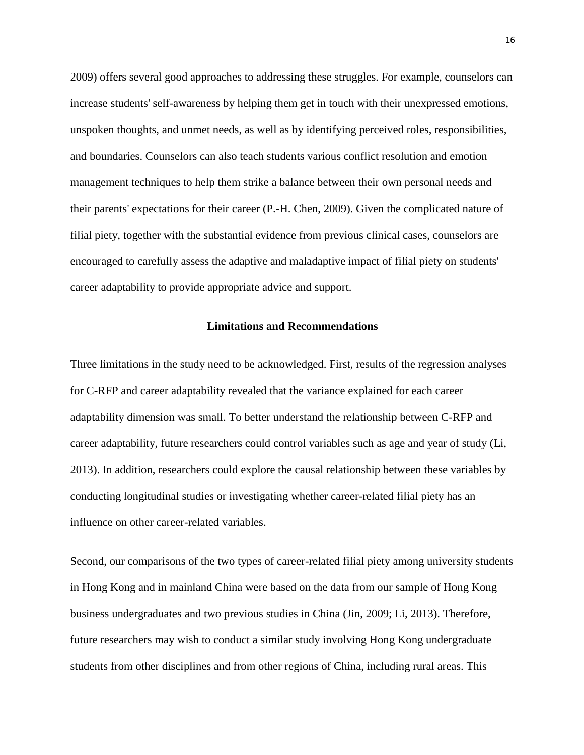2009) offers several good approaches to addressing these struggles. For example, counselors can increase students' self-awareness by helping them get in touch with their unexpressed emotions, unspoken thoughts, and unmet needs, as well as by identifying perceived roles, responsibilities, and boundaries. Counselors can also teach students various conflict resolution and emotion management techniques to help them strike a balance between their own personal needs and their parents' expectations for their career (P.-H. Chen, 2009). Given the complicated nature of filial piety, together with the substantial evidence from previous clinical cases, counselors are encouraged to carefully assess the adaptive and maladaptive impact of filial piety on students' career adaptability to provide appropriate advice and support.

# **Limitations and Recommendations**

Three limitations in the study need to be acknowledged. First, results of the regression analyses for C-RFP and career adaptability revealed that the variance explained for each career adaptability dimension was small. To better understand the relationship between C-RFP and career adaptability, future researchers could control variables such as age and year of study (Li, 2013). In addition, researchers could explore the causal relationship between these variables by conducting longitudinal studies or investigating whether career-related filial piety has an influence on other career-related variables.

Second, our comparisons of the two types of career-related filial piety among university students in Hong Kong and in mainland China were based on the data from our sample of Hong Kong business undergraduates and two previous studies in China (Jin, 2009; Li, 2013). Therefore, future researchers may wish to conduct a similar study involving Hong Kong undergraduate students from other disciplines and from other regions of China, including rural areas. This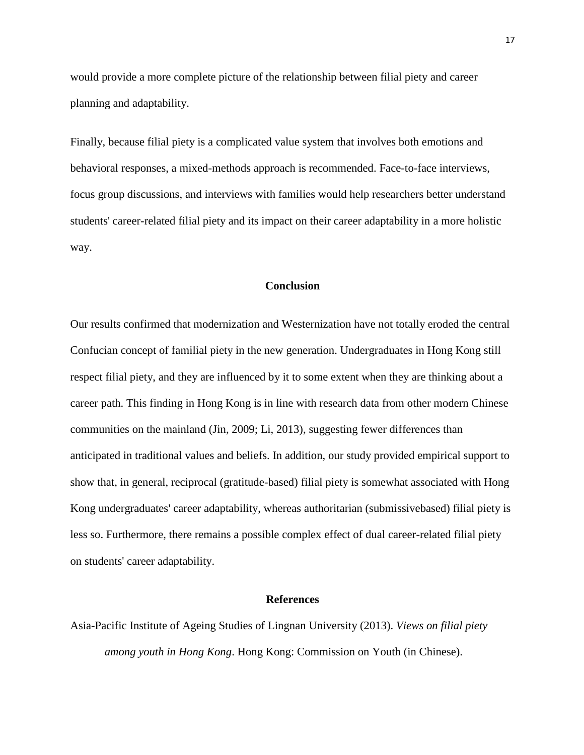would provide a more complete picture of the relationship between filial piety and career planning and adaptability.

Finally, because filial piety is a complicated value system that involves both emotions and behavioral responses, a mixed-methods approach is recommended. Face-to-face interviews, focus group discussions, and interviews with families would help researchers better understand students' career-related filial piety and its impact on their career adaptability in a more holistic way.

# **Conclusion**

Our results confirmed that modernization and Westernization have not totally eroded the central Confucian concept of familial piety in the new generation. Undergraduates in Hong Kong still respect filial piety, and they are influenced by it to some extent when they are thinking about a career path. This finding in Hong Kong is in line with research data from other modern Chinese communities on the mainland (Jin, 2009; Li, 2013), suggesting fewer differences than anticipated in traditional values and beliefs. In addition, our study provided empirical support to show that, in general, reciprocal (gratitude-based) filial piety is somewhat associated with Hong Kong undergraduates' career adaptability, whereas authoritarian (submissivebased) filial piety is less so. Furthermore, there remains a possible complex effect of dual career-related filial piety on students' career adaptability.

#### **References**

Asia-Pacific Institute of Ageing Studies of Lingnan University (2013). *Views on filial piety among youth in Hong Kong*. Hong Kong: Commission on Youth (in Chinese).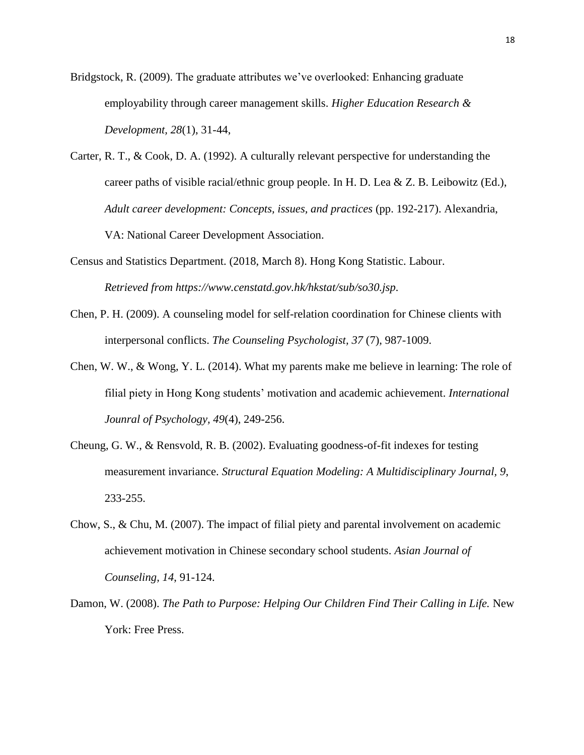Bridgstock, R. (2009). The graduate attributes we've overlooked: Enhancing graduate employability through career management skills. *Higher Education Research & Development, 28*(1), 31-44,

- Carter, R. T., & Cook, D. A. (1992). A culturally relevant perspective for understanding the career paths of visible racial/ethnic group people. In H. D. Lea & Z. B. Leibowitz (Ed.), *Adult career development: Concepts, issues, and practices* (pp. 192-217). Alexandria, VA: National Career Development Association.
- Census and Statistics Department. (2018, March 8). Hong Kong Statistic. Labour. *Retrieved from https://www.censtatd.gov.hk/hkstat/sub/so30.jsp.*
- Chen, P. H. (2009). A counseling model for self-relation coordination for Chinese clients with interpersonal conflicts. *The Counseling Psychologist, 37* (7), 987-1009.
- Chen, W. W., & Wong, Y. L. (2014). What my parents make me believe in learning: The role of filial piety in Hong Kong students' motivation and academic achievement. *International Jounral of Psychology, 49*(4), 249-256.
- Cheung, G. W., & Rensvold, R. B. (2002). Evaluating goodness-of-fit indexes for testing measurement invariance. *Structural Equation Modeling: A Multidisciplinary Journal, 9*, 233-255.
- Chow, S., & Chu, M. (2007). The impact of filial piety and parental involvement on academic achievement motivation in Chinese secondary school students. *Asian Journal of Counseling, 14*, 91-124.
- Damon, W. (2008). *The Path to Purpose: Helping Our Children Find Their Calling in Life.* New York: Free Press.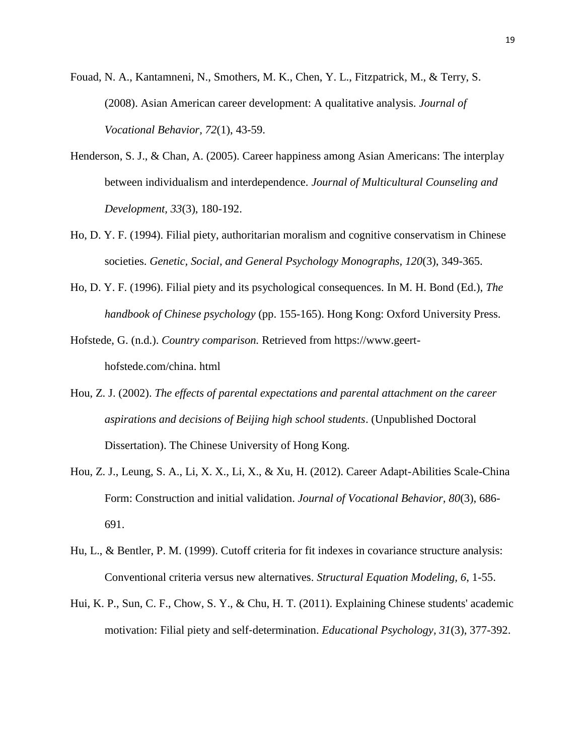Fouad, N. A., Kantamneni, N., Smothers, M. K., Chen, Y. L., Fitzpatrick, M., & Terry, S. (2008). Asian American career development: A qualitative analysis. *Journal of Vocational Behavior, 72*(1), 43-59.

- Henderson, S. J., & Chan, A. (2005). Career happiness among Asian Americans: The interplay between individualism and interdependence. *Journal of Multicultural Counseling and Development, 33*(3), 180-192.
- Ho, D. Y. F. (1994). Filial piety, authoritarian moralism and cognitive conservatism in Chinese societies. *Genetic, Social, and General Psychology Monographs, 120*(3), 349-365.
- Ho, D. Y. F. (1996). Filial piety and its psychological consequences. In M. H. Bond (Ed.), *The handbook of Chinese psychology* (pp. 155-165). Hong Kong: Oxford University Press.
- Hofstede, G. (n.d.). *Country comparison.* Retrieved from https://www.geerthofstede.com/china. html
- Hou, Z. J. (2002). *The effects of parental expectations and parental attachment on the career aspirations and decisions of Beijing high school students*. (Unpublished Doctoral Dissertation). The Chinese University of Hong Kong.
- Hou, Z. J., Leung, S. A., Li, X. X., Li, X., & Xu, H. (2012). Career Adapt-Abilities Scale-China Form: Construction and initial validation. *Journal of Vocational Behavior, 80*(3), 686- 691.
- Hu, L., & Bentler, P. M. (1999). Cutoff criteria for fit indexes in covariance structure analysis: Conventional criteria versus new alternatives. *Structural Equation Modeling, 6*, 1-55.
- Hui, K. P., Sun, C. F., Chow, S. Y., & Chu, H. T. (2011). Explaining Chinese students' academic motivation: Filial piety and self‐determination. *Educational Psychology, 31*(3), 377-392.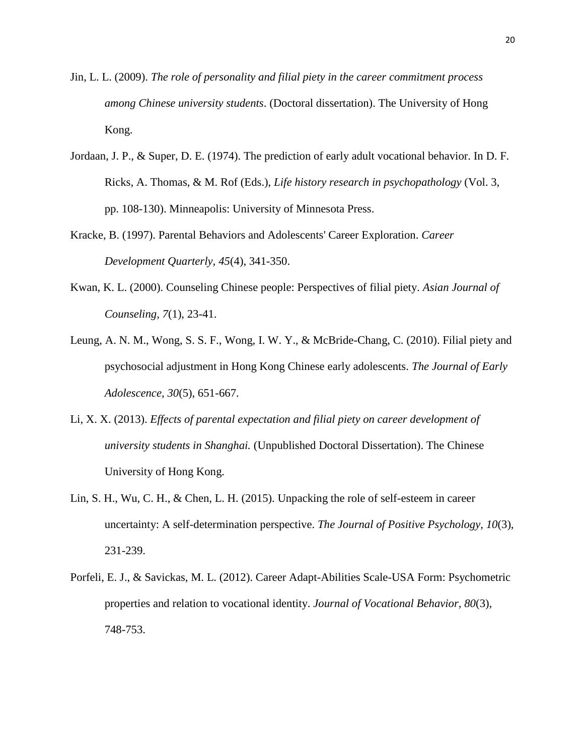- Jin, L. L. (2009). *The role of personality and filial piety in the career commitment process among Chinese university students*. (Doctoral dissertation). The University of Hong Kong.
- Jordaan, J. P., & Super, D. E. (1974). The prediction of early adult vocational behavior. In D. F. Ricks, A. Thomas, & M. Rof (Eds.), *Life history research in psychopathology* (Vol. 3, pp. 108-130). Minneapolis: University of Minnesota Press.
- Kracke, B. (1997). Parental Behaviors and Adolescents' Career Exploration. *Career Development Quarterly, 45*(4), 341-350.
- Kwan, K. L. (2000). Counseling Chinese people: Perspectives of filial piety. *Asian Journal of Counseling, 7*(1), 23-41.
- Leung, A. N. M., Wong, S. S. F., Wong, I. W. Y., & McBride-Chang, C. (2010). Filial piety and psychosocial adjustment in Hong Kong Chinese early adolescents. *The Journal of Early Adolescence, 30*(5), 651-667.
- Li, X. X. (2013). *Effects of parental expectation and filial piety on career development of university students in Shanghai.* (Unpublished Doctoral Dissertation). The Chinese University of Hong Kong.
- Lin, S. H., Wu, C. H., & Chen, L. H. (2015). Unpacking the role of self-esteem in career uncertainty: A self-determination perspective. *The Journal of Positive Psychology, 10*(3), 231-239.
- Porfeli, E. J., & Savickas, M. L. (2012). Career Adapt-Abilities Scale-USA Form: Psychometric properties and relation to vocational identity. *Journal of Vocational Behavior, 80*(3), 748-753.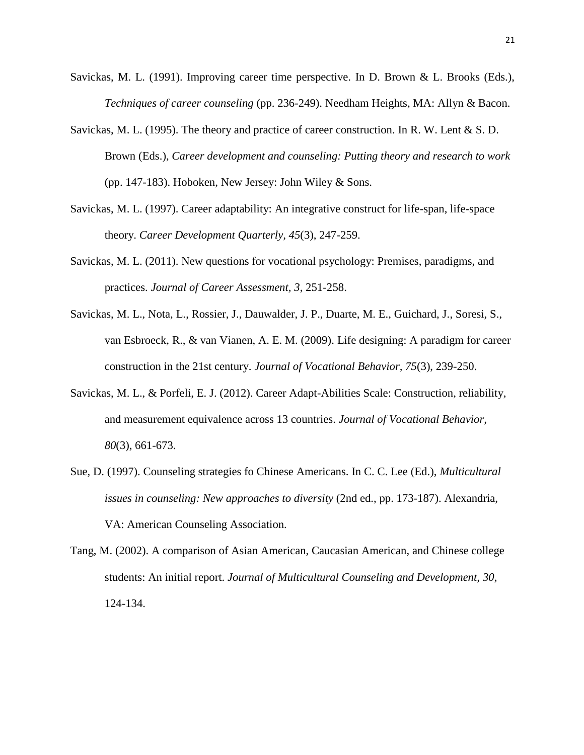- Savickas, M. L. (1991). Improving career time perspective. In D. Brown & L. Brooks (Eds.), *Techniques of career counseling* (pp. 236-249). Needham Heights, MA: Allyn & Bacon.
- Savickas, M. L. (1995). The theory and practice of career construction. In R. W. Lent & S. D. Brown (Eds.), *Career development and counseling: Putting theory and research to work* (pp. 147-183). Hoboken, New Jersey: John Wiley & Sons.
- Savickas, M. L. (1997). Career adaptability: An integrative construct for life-span, life-space theory. *Career Development Quarterly, 45*(3), 247-259.
- Savickas, M. L. (2011). New questions for vocational psychology: Premises, paradigms, and practices. *Journal of Career Assessment, 3*, 251-258.
- Savickas, M. L., Nota, L., Rossier, J., Dauwalder, J. P., Duarte, M. E., Guichard, J., Soresi, S., van Esbroeck, R., & van Vianen, A. E. M. (2009). Life designing: A paradigm for career construction in the 21st century. *Journal of Vocational Behavior, 75*(3), 239-250.
- Savickas, M. L., & Porfeli, E. J. (2012). Career Adapt-Abilities Scale: Construction, reliability, and measurement equivalence across 13 countries. *Journal of Vocational Behavior, 80*(3), 661-673.
- Sue, D. (1997). Counseling strategies fo Chinese Americans. In C. C. Lee (Ed.), *Multicultural issues in counseling: New approaches to diversity* (2nd ed., pp. 173-187). Alexandria, VA: American Counseling Association.
- Tang, M. (2002). A comparison of Asian American, Caucasian American, and Chinese college students: An initial report. *Journal of Multicultural Counseling and Development, 30*, 124-134.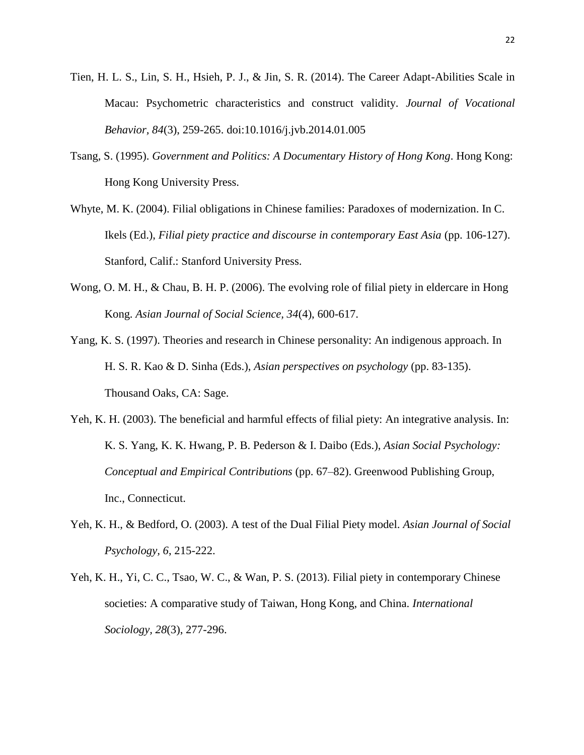- Tien, H. L. S., Lin, S. H., Hsieh, P. J., & Jin, S. R. (2014). The Career Adapt-Abilities Scale in Macau: Psychometric characteristics and construct validity. *Journal of Vocational Behavior, 84*(3), 259-265. doi:10.1016/j.jvb.2014.01.005
- Tsang, S. (1995). *Government and Politics: A Documentary History of Hong Kong*. Hong Kong: Hong Kong University Press.
- Whyte, M. K. (2004). Filial obligations in Chinese families: Paradoxes of modernization. In C. Ikels (Ed.), *Filial piety practice and discourse in contemporary East Asia* (pp. 106-127). Stanford, Calif.: Stanford University Press.
- Wong, O. M. H., & Chau, B. H. P. (2006). The evolving role of filial piety in eldercare in Hong Kong. *Asian Journal of Social Science, 34*(4), 600-617.
- Yang, K. S. (1997). Theories and research in Chinese personality: An indigenous approach. In H. S. R. Kao & D. Sinha (Eds.), *Asian perspectives on psychology* (pp. 83-135). Thousand Oaks, CA: Sage.
- Yeh, K. H. (2003). The beneficial and harmful effects of filial piety: An integrative analysis. In: K. S. Yang, K. K. Hwang, P. B. Pederson & I. Daibo (Eds.), *Asian Social Psychology: Conceptual and Empirical Contributions* (pp. 67–82). Greenwood Publishing Group, Inc., Connecticut.
- Yeh, K. H., & Bedford, O. (2003). A test of the Dual Filial Piety model. *Asian Journal of Social Psychology, 6*, 215-222.
- Yeh, K. H., Yi, C. C., Tsao, W. C., & Wan, P. S. (2013). Filial piety in contemporary Chinese societies: A comparative study of Taiwan, Hong Kong, and China. *International Sociology, 28*(3), 277-296.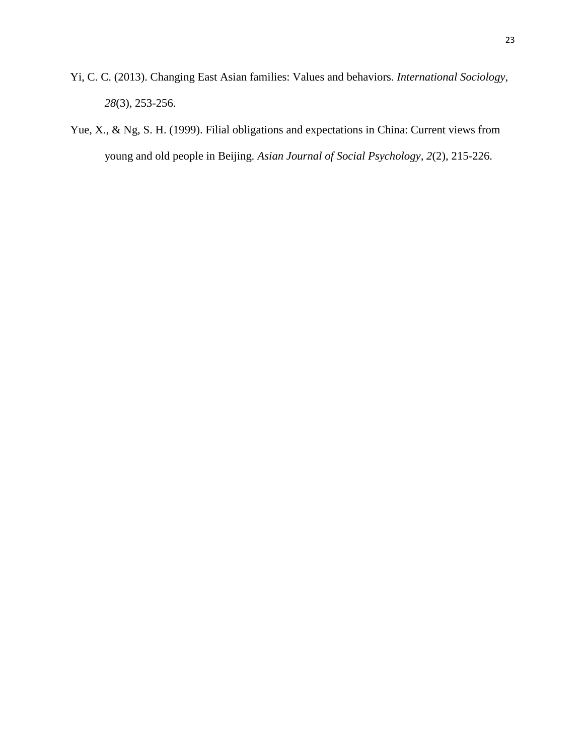- Yi, C. C. (2013). Changing East Asian families: Values and behaviors. *International Sociology, 28*(3), 253-256.
- Yue, X., & Ng, S. H. (1999). Filial obligations and expectations in China: Current views from young and old people in Beijing. *Asian Journal of Social Psychology, 2*(2), 215-226.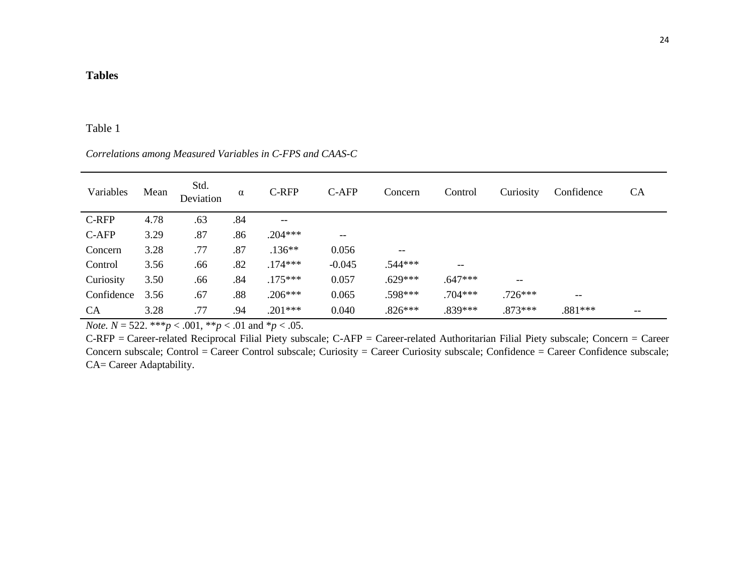# Table 1

*Correlations among Measured Variables in C-FPS and CAAS-C*

| Variables  | Mean | Std.<br>Deviation | α   | C-RFP     | C-AFP             | Concern   | Control           | Curiosity   | Confidence | <b>CA</b> |
|------------|------|-------------------|-----|-----------|-------------------|-----------|-------------------|-------------|------------|-----------|
| C-RFP      | 4.78 | .63               | .84 | $- -$     |                   |           |                   |             |            |           |
| C-AFP      | 3.29 | .87               | .86 | $.204***$ | $\qquad \qquad -$ |           |                   |             |            |           |
| Concern    | 3.28 | .77               | .87 | $.136**$  | 0.056             | --        |                   |             |            |           |
| Control    | 3.56 | .66               | .82 | $.174***$ | $-0.045$          | .544***   | $\qquad \qquad -$ |             |            |           |
| Curiosity  | 3.50 | .66               | .84 | $.175***$ | 0.057             | $.629***$ | .647***           | $-\!$ $\!-$ |            |           |
| Confidence | 3.56 | .67               | .88 | $.206***$ | 0.065             | .598***   | $.704***$         | $.726***$   | $-$        |           |
| <b>CA</b>  | 3.28 | .77               | .94 | $.201***$ | 0.040             | $.826***$ | .839***           | $.873***$   | $.881***$  |           |

*Note.*  $N = 522$ . \*\*\* $p < .001$ , \*\* $p < .01$  and \* $p < .05$ .

C-RFP = Career-related Reciprocal Filial Piety subscale; C-AFP = Career-related Authoritarian Filial Piety subscale; Concern = Career Concern subscale; Control = Career Control subscale; Curiosity = Career Curiosity subscale; Confidence = Career Confidence subscale; CA= Career Adaptability.